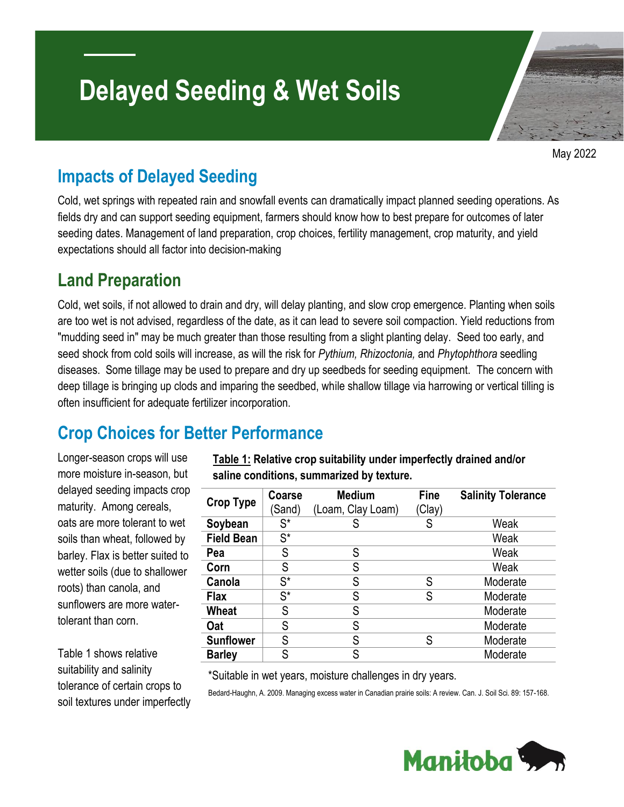# **Delayed Seeding & Wet Soils**

May 2022

#### **Impacts of Delayed Seeding**

Cold, wet springs with repeated rain and snowfall events can dramatically impact planned seeding operations. As fields dry and can support seeding equipment, farmers should know how to best prepare for outcomes of later seeding dates. Management of land preparation, crop choices, fertility management, crop maturity, and yield expectations should all factor into decision-making

#### **Land Preparation**

Cold, wet soils, if not allowed to drain and dry, will delay planting, and slow crop emergence. Planting when soils are too wet is not advised, regardless of the date, as it can lead to severe soil compaction. Yield reductions from "mudding seed in" may be much greater than those resulting from a slight planting delay. Seed too early, and seed shock from cold soils will increase, as will the risk for *Pythium, Rhizoctonia,* and *Phytophthora* seedling diseases. Some tillage may be used to prepare and dry up seedbeds for seeding equipment. The concern with deep tillage is bringing up clods and imparing the seedbed, while shallow tillage via harrowing or vertical tilling is often insufficient for adequate fertilizer incorporation.

# **Crop Choices for Better Performance**

Longer-season crops will use more moisture in-season, but delayed seeding impacts crop maturity. Among cereals, oats are more tolerant to wet soils than wheat, followed by barley. Flax is better suited to wetter soils (due to shallower roots) than canola, and sunflowers are more watertolerant than corn.

Table 1 shows relative suitability and salinity tolerance of certain crops to soil textures under imperfectly **Table 1: Relative crop suitability under imperfectly drained and/or saline conditions, summarized by texture.**

| <b>Crop Type</b>  | Coarse               | <b>Medium</b>     | <b>Fine</b> | <b>Salinity Tolerance</b> |
|-------------------|----------------------|-------------------|-------------|---------------------------|
|                   | 'Sand)               | (Loam, Clay Loam) | (Clay)      |                           |
| Soybean           | $\mathsf{S}^{\star}$ | S                 | S           | Weak                      |
| <b>Field Bean</b> | $S^*$                |                   |             | Weak                      |
| Pea               | S                    | S                 |             | Weak                      |
| Corn              | S                    | S                 |             | Weak                      |
| Canola            | $S^*$                | S                 | S           | Moderate                  |
| <b>Flax</b>       | $S^*$                | S                 | S           | Moderate                  |
| Wheat             | S                    | S                 |             | Moderate                  |
| Oat               | S                    | S                 |             | Moderate                  |
| <b>Sunflower</b>  | S                    | S                 | S           | Moderate                  |
| <b>Barley</b>     | S                    | S                 |             | Moderate                  |

\*Suitable in wet years, moisture challenges in dry years.

Bedard-Haughn, A. 2009. Managing excess water in Canadian prairie soils: A review. Can. J. Soil Sci. 89: 157-168.